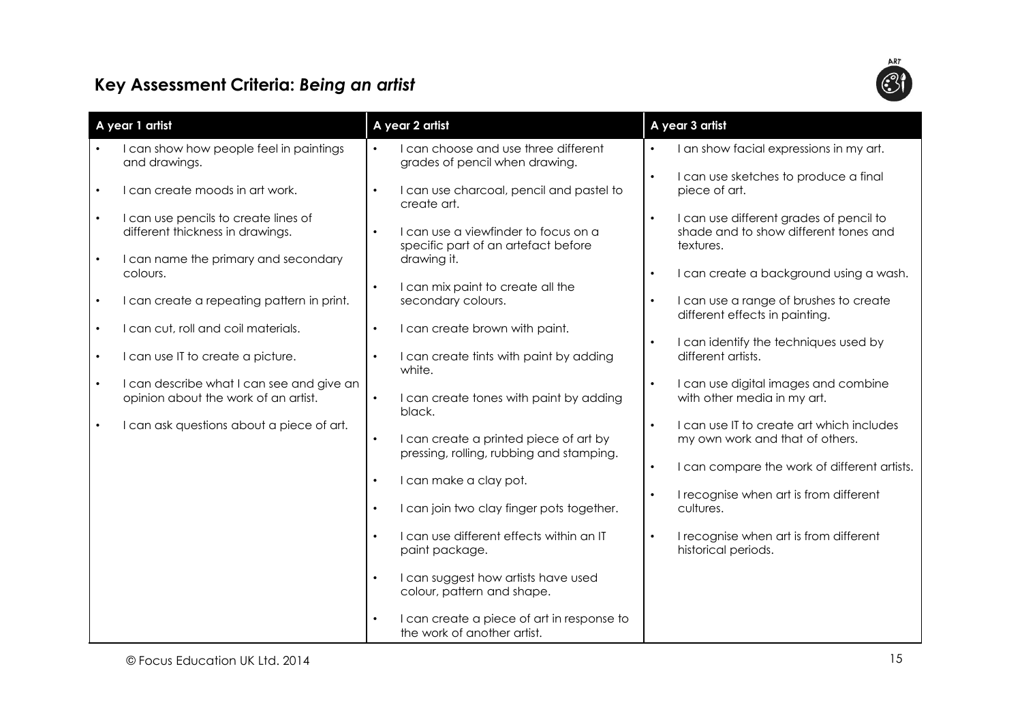## Key Assessment Criteria: Being an artist



| A year 1 artist |                                                                                   | A year 2 artist |                                                                                    | A year 3 artist |                                                                                               |
|-----------------|-----------------------------------------------------------------------------------|-----------------|------------------------------------------------------------------------------------|-----------------|-----------------------------------------------------------------------------------------------|
|                 |                                                                                   |                 |                                                                                    |                 |                                                                                               |
|                 | I can show how people feel in paintings<br>and drawings.                          |                 | I can choose and use three different<br>grades of pencil when drawing.             | $\bullet$       | I an show facial expressions in my art.                                                       |
|                 | I can create moods in art work.                                                   | $\bullet$       | I can use charcoal, pencil and pastel to<br>create art.                            | $\bullet$       | I can use sketches to produce a final<br>piece of art.                                        |
| $\bullet$       | I can use pencils to create lines of<br>different thickness in drawings.          | $\bullet$       | I can use a viewfinder to focus on a<br>specific part of an artefact before        | $\bullet$       | I can use different grades of pencil to<br>shade and to show different tones and<br>textures. |
|                 | I can name the primary and secondary<br>colours.                                  | $\bullet$       | drawing it.<br>I can mix paint to create all the                                   | $\bullet$       | I can create a background using a wash.                                                       |
| $\bullet$       | I can create a repeating pattern in print.                                        |                 | secondary colours.                                                                 | $\bullet$       | I can use a range of brushes to create<br>different effects in painting.                      |
|                 | I can cut, roll and coil materials.                                               | $\bullet$       | I can create brown with paint.                                                     |                 |                                                                                               |
|                 | I can use IT to create a picture.                                                 | $\bullet$       | I can create tints with paint by adding<br>white.                                  | $\bullet$       | I can identify the techniques used by<br>different artists.                                   |
|                 | I can describe what I can see and give an<br>opinion about the work of an artist. | $\bullet$       | I can create tones with paint by adding<br>black.                                  | $\bullet$       | I can use digital images and combine<br>with other media in my art.                           |
| $\bullet$       | I can ask questions about a piece of art.                                         | $\bullet$       | I can create a printed piece of art by<br>pressing, rolling, rubbing and stamping. | $\bullet$       | I can use IT to create art which includes<br>my own work and that of others.                  |
|                 |                                                                                   | $\bullet$       | I can make a clay pot.                                                             | $\bullet$       | I can compare the work of different artists.                                                  |
|                 |                                                                                   | $\bullet$       | I can join two clay finger pots together.                                          | $\bullet$       | I recognise when art is from different<br>cultures.                                           |
|                 |                                                                                   | $\bullet$       | I can use different effects within an IT<br>paint package.                         | $\bullet$       | I recognise when art is from different<br>historical periods.                                 |
|                 |                                                                                   | $\bullet$       | I can suggest how artists have used<br>colour, pattern and shape.                  |                 |                                                                                               |
|                 |                                                                                   | $\bullet$       | I can create a piece of art in response to<br>the work of another artist.          |                 |                                                                                               |